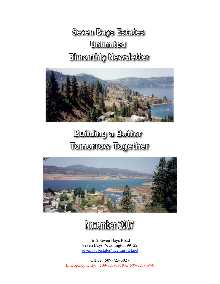# **Seven Bays Estates Unlimited Bimonthly Newsletter**



# **Building a Better Tomorrow Together**





1612 Seven Bays Road Seven Bays, Washington 99122 sevenbaysestates@centurytel.net

Office: 509-725-5027 Emergency Only: 509-721-0918 or 509-721-0946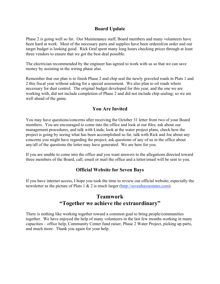#### **Board Update**

Phase 2 is going well so far. Our Maintenance staff, Board members and many volunteers have been hard at work. Most of the necessary parts and supplies have been ordered/on order and our target budget is looking good. Rick Graf spent many long hours checking prices through at least three vendors to ensure that we got the best deal possible.

The electrician recommended by the engineer has agreed to work with us so that we can save money by assisting in the wiring phase also.

Remember that our plan is to finish Phase 2 and chip seal the newly graveled roads in Plats 1 and 2 this fiscal year without asking for a special assessment. We also plan to oil roads where necessary for dust control. The original budget developed for this year, and the one we are working with, did not include completion of Phase 2 and did not include chip sealing; so we are well ahead of the game.

### **You Are Invited**

You may have questions/concerns after receiving the October 31 letter from two of your Board members. You are encouraged to come into the office and look at our files; ask about our management procedures, and talk with Linda; look at the water project plans, check how the project is going by seeing what has been accomplished so far, talk with Rick and Joe about any concerns you might have regarding the project; ask questions of any of us in the office about any/all of the questions the letter may have generated. We are here for you.

If you are unable to come into the office and you want answers to the allegations directed toward three members of the Board, call, email or mail the office and a letter/email will be sent to you.

### **Official Website for Seven Bays**

If you have internet access, I hope you took the time to review our official website; especially the newsletter as the picture of Plats 1 & 2 is much larger (http://sevenbaysestates.com).

## **Teamwork "Together we achieve the extraordinary"**

There is nothing like working together toward a common goal to bring people/communities together. We have enjoyed the help of many volunteers in the last few months working in many capacities – office help, Community Center fund raiser, Phase 2 Water Project, picking up parts, and much more. Thank you again for your help.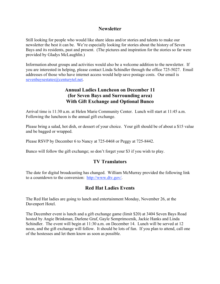#### **Newsletter**

Still looking for people who would like share ideas and/or stories and talents to make our newsletter the best it can be. We're especially looking for stories about the history of Seven Bays and its residents, past and present. (The pictures and inspiration for the stories so far were provided by Gladys McLaughlin.)

Information about groups and activities would also be a welcome addition to the newsletter. If you are interested in helping, please contact Linda Schindler through the office 725-5027. Email addresses of those who have internet access would help save postage costs. Our email is sevenbaysestates@centurytel.net.

### **Annual Ladies Luncheon on December 11 (for Seven Bays and Surrounding area) With Gift Exchange and Optional Bunco**

Arrival time is 11:30 a.m. at Helen Marie Community Center. Lunch will start at 11:45 a.m. Following the luncheon is the annual gift exchange.

Please bring a salad, hot dish, or dessert of your choice. Your gift should be of about a \$15 value and be bagged or wrapped.

Please RSVP by December 6 to Nancy at 725-0468 or Peggy at 725-8442.

Bunco will follow the gift exchange; so don't forget your \$3 if you wish to play.

#### **TV Translators**

The date for digital broadcasting has changed. William McMurray provided the following link to a countdown to the conversion: http://www.dtv.gov/.

## **Red Hat Ladies Events**

The Red Hat ladies are going to lunch and entertainment Monday, November 26, at the Davenport Hotel.

The December event is lunch and a gift exchange game (limit \$20) at 3404 Seven Bays Road hosted by Angie Brinkman, Darlene Graf, Gayle Semprimoznik, Jackie Hanks and Linda Schindler. The event will begin at 11:30 a.m. on December 14. Lunch will be served at 12 noon, and the gift exchange will follow. It should be lots of fun. If you plan to attend, call one of the hostesses and let them know as soon as possible.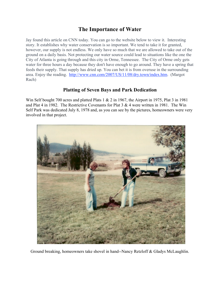## **The Importance of Water**

Jay found this article on CNN today. You can go to the website below to view it. Interesting story. It establishes why water conservation is so important. We tend to take it for granted, however, our supply is not endless. We only have so much that we are allowed to take out of the ground on a daily basis. Not protecting our water source could lead to situations like the one the City of Atlanta is going through and this city in Orme, Tennessee. The City of Orme only gets water for three hours a day because they don't have enough to go around. They have a spring that feeds their supply. That supply has dried up. You can bet it is from overuse in the surrounding area. Enjoy the reading. http://www.cnn.com/2007/US/11/08/dry.town/index.htm. (Margot Rach)

## **Platting of Seven Bays and Park Dedication**

Win Self bought 700 acres and platted Plats 1 & 2 in 1967, the Airport in 1975, Plat 3 in 1981 and Plat 4 in 1982. The Restrictive Covenants for Plat  $3 \& 4$  were written in 1981. The Win Self Park was dedicated July 8, 1978 and, as you can see by the pictures, homeowners were very involved in that project.



Ground breaking, homeowners take shovel in hand--Nancy Retzloff & Gladys McLaughlin.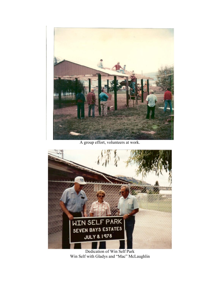

A group effort, volunteers at work.



Dedication of Win Self Park Win Self with Gladys and "Mac" McLaughlin